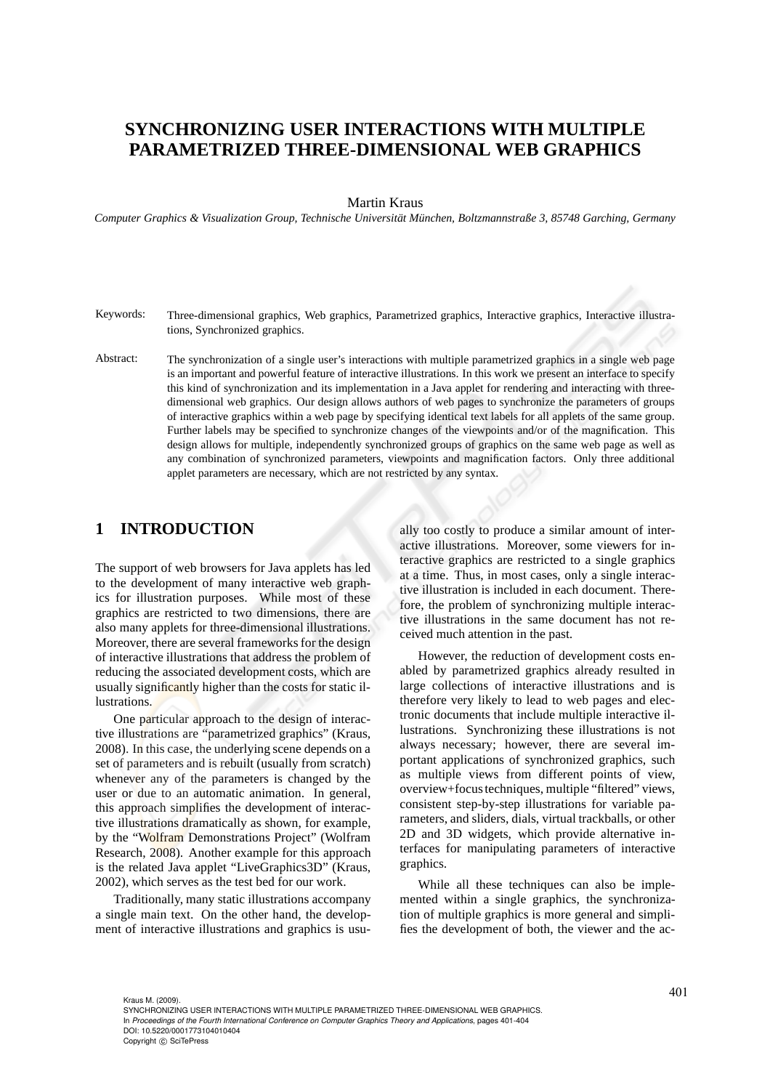# **SYNCHRONIZING USER INTERACTIONS WITH MULTIPLE PARAMETRIZED THREE-DIMENSIONAL WEB GRAPHICS**

#### Martin Kraus

*Computer Graphics & Visualization Group, Technische Universität München, Boltzmannstraße 3, 85748 Garching, Germany* 

- Keywords: Three-dimensional graphics, Web graphics, Parametrized graphics, Interactive graphics, Interactive illustrations, Synchronized graphics.
- Abstract: The synchronization of a single user's interactions with multiple parametrized graphics in a single web page is an important and powerful feature of interactive illustrations. In this work we present an interface to specify this kind of synchronization and its implementation in a Java applet for rendering and interacting with threedimensional web graphics. Our design allows authors of web pages to synchronize the parameters of groups of interactive graphics within a web page by specifying identical text labels for all applets of the same group. Further labels may be specified to synchronize changes of the viewpoints and/or of the magnification. This design allows for multiple, independently synchronized groups of graphics on the same web page as well as any combination of synchronized parameters, viewpoints and magnification factors. Only three additional applet parameters are necessary, which are not restricted by any syntax.

## **1 INTRODUCTION**

The support of web browsers for Java applets has led to the development of many interactive web graphics for illustration purposes. While most of these graphics are restricted to two dimensions, there are also many applets for three-dimensional illustrations. Moreover, there are several frameworks for the design of interactive illustrations that address the problem of reducing the associated development costs, which are usually significantly higher than the costs for static illustrations.

One particular approach to the design of interactive illustrations are "parametrized graphics" (Kraus, 2008). In this case, the underlying scene depends on a set of parameters and is rebuilt (usually from scratch) whenever any of the parameters is changed by the user or due to an automatic animation. In general, this approach simplifies the development of interactive illustrations dramatically as shown, for example, by the "Wolfram Demonstrations Project" (Wolfram Research, 2008). Another example for this approach is the related Java applet "LiveGraphics3D" (Kraus, 2002), which serves as the test bed for our work.

Traditionally, many static illustrations accompany a single main text. On the other hand, the development of interactive illustrations and graphics is usually too costly to produce a similar amount of interactive illustrations. Moreover, some viewers for interactive graphics are restricted to a single graphics at a time. Thus, in most cases, only a single interactive illustration is included in each document. Therefore, the problem of synchronizing multiple interactive illustrations in the same document has not received much attention in the past.

However, the reduction of development costs enabled by parametrized graphics already resulted in large collections of interactive illustrations and is therefore very likely to lead to web pages and electronic documents that include multiple interactive illustrations. Synchronizing these illustrations is not always necessary; however, there are several important applications of synchronized graphics, such as multiple views from different points of view, overview+focus techniques, multiple "filtered" views, consistent step-by-step illustrations for variable parameters, and sliders, dials, virtual trackballs, or other 2D and 3D widgets, which provide alternative interfaces for manipulating parameters of interactive graphics.

While all these techniques can also be implemented within a single graphics, the synchronization of multiple graphics is more general and simplifies the development of both, the viewer and the ac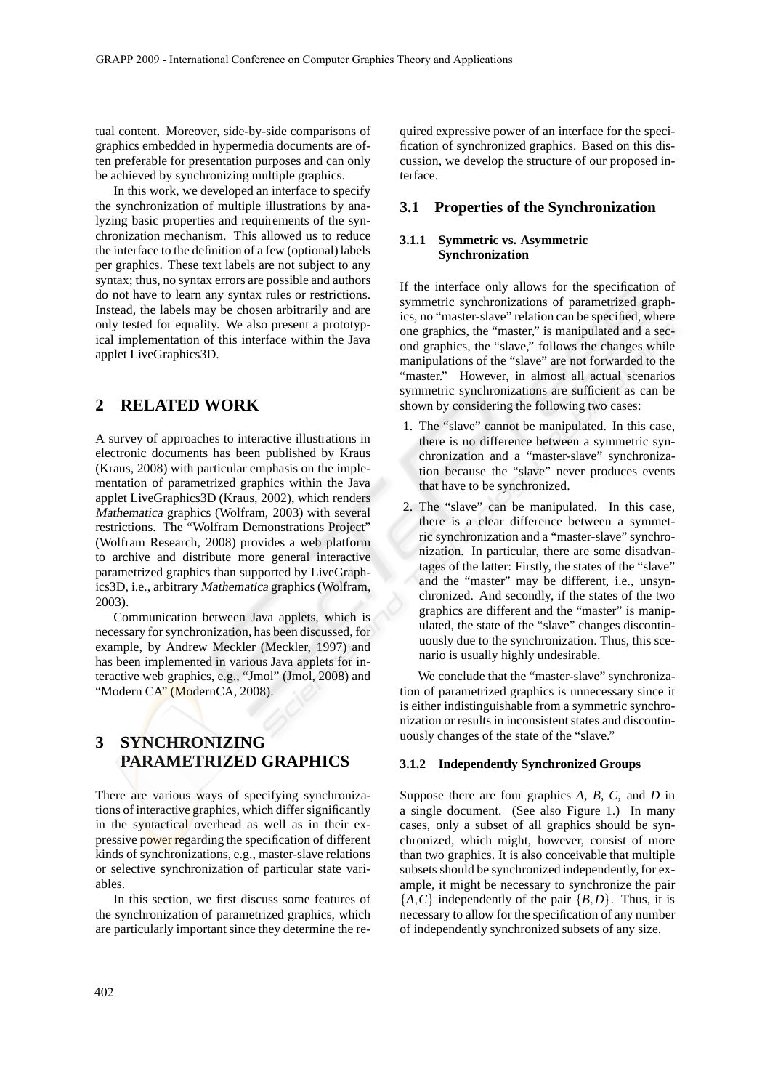tual content. Moreover, side-by-side comparisons of graphics embedded in hypermedia documents are often preferable for presentation purposes and can only be achieved by synchronizing multiple graphics.

In this work, we developed an interface to specify the synchronization of multiple illustrations by analyzing basic properties and requirements of the synchronization mechanism. This allowed us to reduce the interface to the definition of a few (optional) labels per graphics. These text labels are not subject to any syntax; thus, no syntax errors are possible and authors do not have to learn any syntax rules or restrictions. Instead, the labels may be chosen arbitrarily and are only tested for equality. We also present a prototypical implementation of this interface within the Java applet LiveGraphics3D.

### **2 RELATED WORK**

A survey of approaches to interactive illustrations in electronic documents has been published by Kraus (Kraus, 2008) with particular emphasis on the implementation of parametrized graphics within the Java applet LiveGraphics3D (Kraus, 2002), which renders Mathematica graphics (Wolfram, 2003) with several restrictions. The "Wolfram Demonstrations Project" (Wolfram Research, 2008) provides a web platform to archive and distribute more general interactive parametrized graphics than supported by LiveGraphics3D, i.e., arbitrary Mathematica graphics (Wolfram, 2003).

Communication between Java applets, which is necessary for synchronization, has been discussed, for example, by Andrew Meckler (Meckler, 1997) and has been implemented in various Java applets for interactive web graphics, e.g., "Jmol" (Jmol, 2008) and "Modern CA" (ModernCA, 2008).

## **3 SYNCHRONIZING PARAMETRIZED GRAPHICS**

There are various ways of specifying synchronizations of interactive graphics, which differ significantly in the syntactical overhead as well as in their expressive power regarding the specification of different kinds of synchronizations, e.g., master-slave relations or selective synchronization of particular state variables.

In this section, we first discuss some features of the synchronization of parametrized graphics, which are particularly important since they determine the required expressive power of an interface for the specification of synchronized graphics. Based on this discussion, we develop the structure of our proposed interface.

### **3.1 Properties of the Synchronization**

#### **3.1.1 Symmetric vs. Asymmetric Synchronization**

If the interface only allows for the specification of symmetric synchronizations of parametrized graphics, no "master-slave" relation can be specified, where one graphics, the "master," is manipulated and a second graphics, the "slave," follows the changes while manipulations of the "slave" are not forwarded to the "master." However, in almost all actual scenarios symmetric synchronizations are sufficient as can be shown by considering the following two cases:

- 1. The "slave" cannot be manipulated. In this case, there is no difference between a symmetric synchronization and a "master-slave" synchronization because the "slave" never produces events that have to be synchronized.
- 2. The "slave" can be manipulated. In this case, there is a clear difference between a symmetric synchronization and a "master-slave" synchronization. In particular, there are some disadvantages of the latter: Firstly, the states of the "slave" and the "master" may be different, i.e., unsynchronized. And secondly, if the states of the two graphics are different and the "master" is manipulated, the state of the "slave" changes discontinuously due to the synchronization. Thus, this scenario is usually highly undesirable.

We conclude that the "master-slave" synchronization of parametrized graphics is unnecessary since it is either indistinguishable from a symmetric synchronization or results in inconsistent states and discontinuously changes of the state of the "slave."

#### **3.1.2 Independently Synchronized Groups**

Suppose there are four graphics *A*, *B*, *C*, and *D* in a single document. (See also Figure 1.) In many cases, only a subset of all graphics should be synchronized, which might, however, consist of more than two graphics. It is also conceivable that multiple subsets should be synchronized independently, for example, it might be necessary to synchronize the pair  ${A, C}$  independently of the pair  ${B, D}$ . Thus, it is necessary to allow for the specification of any number of independently synchronized subsets of any size.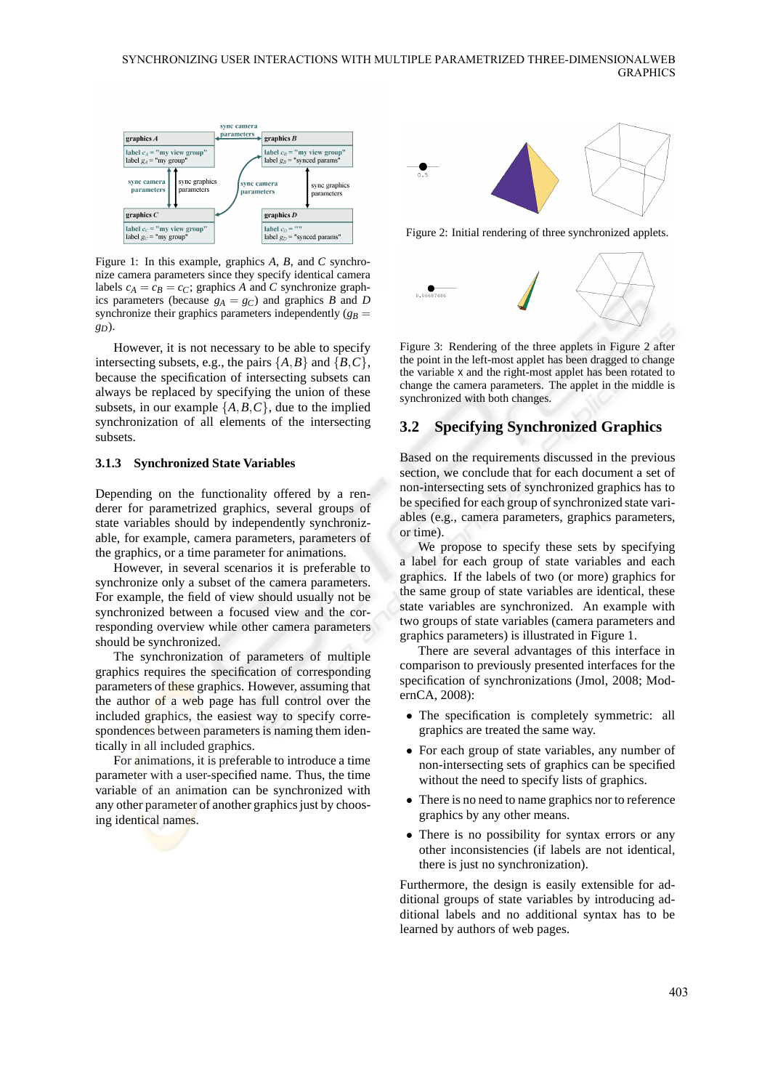#### SYNCHRONIZING USER INTERACTIONS WITH MULTIPLE PARAMETRIZED THREE-DIMENSIONALWEB **GRAPHICS**



Figure 1: In this example, graphics *A*, *B*, and *C* synchronize camera parameters since they specify identical camera labels  $c_A = c_B = c_C$ ; graphics *A* and *C* synchronize graphics parameters (because  $g_A = g_C$ ) and graphics *B* and *D* synchronize their graphics parameters independently  $(g_B =$ *gD*).

However, it is not necessary to be able to specify intersecting subsets, e.g., the pairs  $\{A, B\}$  and  $\{B, C\}$ , because the specification of intersecting subsets can always be replaced by specifying the union of these subsets, in our example  $\{A, B, C\}$ , due to the implied synchronization of all elements of the intersecting subsets.

#### **3.1.3 Synchronized State Variables**

Depending on the functionality offered by a renderer for parametrized graphics, several groups of state variables should by independently synchronizable, for example, camera parameters, parameters of the graphics, or a time parameter for animations.

However, in several scenarios it is preferable to synchronize only a subset of the camera parameters. For example, the field of view should usually not be synchronized between a focused view and the corresponding overview while other camera parameters should be synchronized.

The synchronization of parameters of multiple graphics requires the specification of corresponding parameters of these graphics. However, assuming that the author of a web page has full control over the included graphics, the easiest way to specify correspondences between parameters is naming them identically in all included graphics.

For animations, it is preferable to introduce a time parameter with a user-specified name. Thus, the time variable of an animation can be synchronized with any other parameter of another graphics just by choosing identical names.



Figure 2: Initial rendering of three synchronized applets.



Figure 3: Rendering of the three applets in Figure 2 after the point in the left-most applet has been dragged to change the variable x and the right-most applet has been rotated to change the camera parameters. The applet in the middle is synchronized with both changes.

### **3.2 Specifying Synchronized Graphics**

Based on the requirements discussed in the previous section, we conclude that for each document a set of non-intersecting sets of synchronized graphics has to be specified for each group of synchronized state variables (e.g., camera parameters, graphics parameters, or time).

We propose to specify these sets by specifying a label for each group of state variables and each graphics. If the labels of two (or more) graphics for the same group of state variables are identical, these state variables are synchronized. An example with two groups of state variables (camera parameters and graphics parameters) is illustrated in Figure 1.

There are several advantages of this interface in comparison to previously presented interfaces for the specification of synchronizations (Jmol, 2008; ModernCA, 2008):

- The specification is completely symmetric: all graphics are treated the same way.
- For each group of state variables, any number of non-intersecting sets of graphics can be specified without the need to specify lists of graphics.
- There is no need to name graphics nor to reference graphics by any other means.
- There is no possibility for syntax errors or any other inconsistencies (if labels are not identical, there is just no synchronization).

Furthermore, the design is easily extensible for additional groups of state variables by introducing additional labels and no additional syntax has to be learned by authors of web pages.